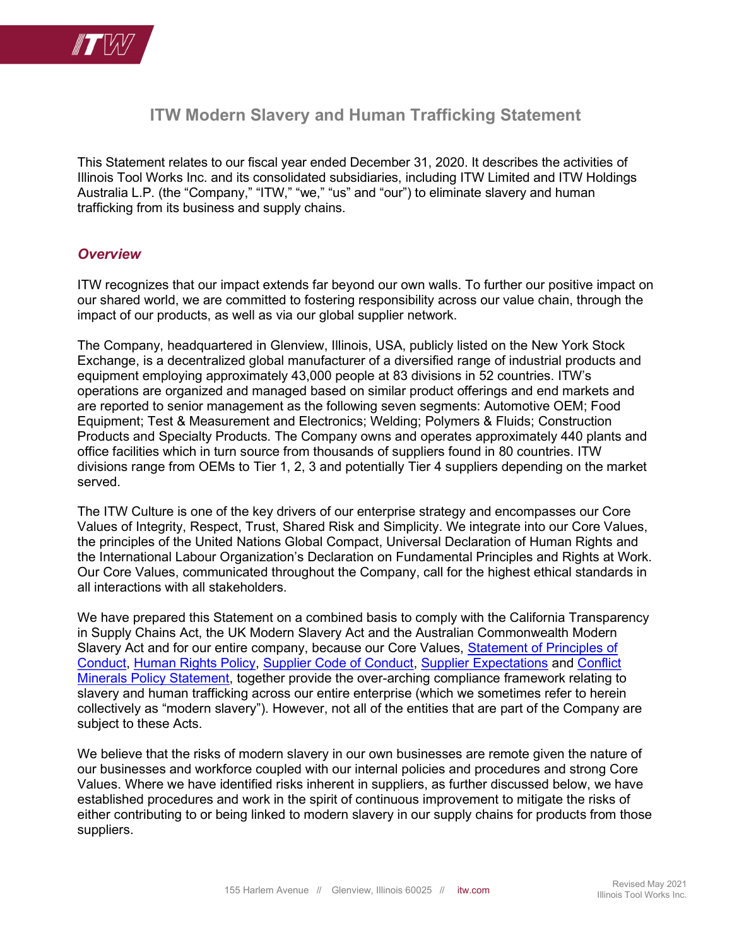

# ITW Modern Slavery and Human Trafficking Statement

This Statement relates to our fiscal year ended December 31, 2020. It describes the activities of Illinois Tool Works Inc. and its consolidated subsidiaries, including ITW Limited and ITW Holdings Australia L.P. (the "Company," "ITW," "we," "us" and "our") to eliminate slavery and human trafficking from its business and supply chains.

#### **Overview**

ITW recognizes that our impact extends far beyond our own walls. To further our positive impact on our shared world, we are committed to fostering responsibility across our value chain, through the impact of our products, as well as via our global supplier network.

The Company, headquartered in Glenview, Illinois, USA, publicly listed on the New York Stock Exchange, is a decentralized global manufacturer of a diversified range of industrial products and equipment employing approximately 43,000 people at 83 divisions in 52 countries. ITW's operations are organized and managed based on similar product offerings and end markets and are reported to senior management as the following seven segments: Automotive OEM; Food Equipment; Test & Measurement and Electronics; Welding; Polymers & Fluids; Construction Products and Specialty Products. The Company owns and operates approximately 440 plants and office facilities which in turn source from thousands of suppliers found in 80 countries. ITW divisions range from OEMs to Tier 1, 2, 3 and potentially Tier 4 suppliers depending on the market served.

The ITW Culture is one of the key drivers of our enterprise strategy and encompasses our Core Values of Integrity, Respect, Trust, Shared Risk and Simplicity. We integrate into our Core Values, the principles of the United Nations Global Compact, Universal Declaration of Human Rights and the International Labour Organization's Declaration on Fundamental Principles and Rights at Work. Our Core Values, communicated throughout the Company, call for the highest ethical standards in all interactions with all stakeholders.

We have prepared this Statement on a combined basis to comply with the California Transparency in Supply Chains Act, the UK Modern Slavery Act and the Australian Commonwealth Modern Slavery Act and for our entire company, because our Core Values, Statement of Principles of Conduct, Human Rights Policy, Supplier Code of Conduct, Supplier Expectations and Conflict Minerals Policy Statement, together provide the over-arching compliance framework relating to slavery and human trafficking across our entire enterprise (which we sometimes refer to herein collectively as "modern slavery"). However, not all of the entities that are part of the Company are subject to these Acts.

We believe that the risks of modern slavery in our own businesses are remote given the nature of our businesses and workforce coupled with our internal policies and procedures and strong Core Values. Where we have identified risks inherent in suppliers, as further discussed below, we have established procedures and work in the spirit of continuous improvement to mitigate the risks of either contributing to or being linked to modern slavery in our supply chains for products from those suppliers.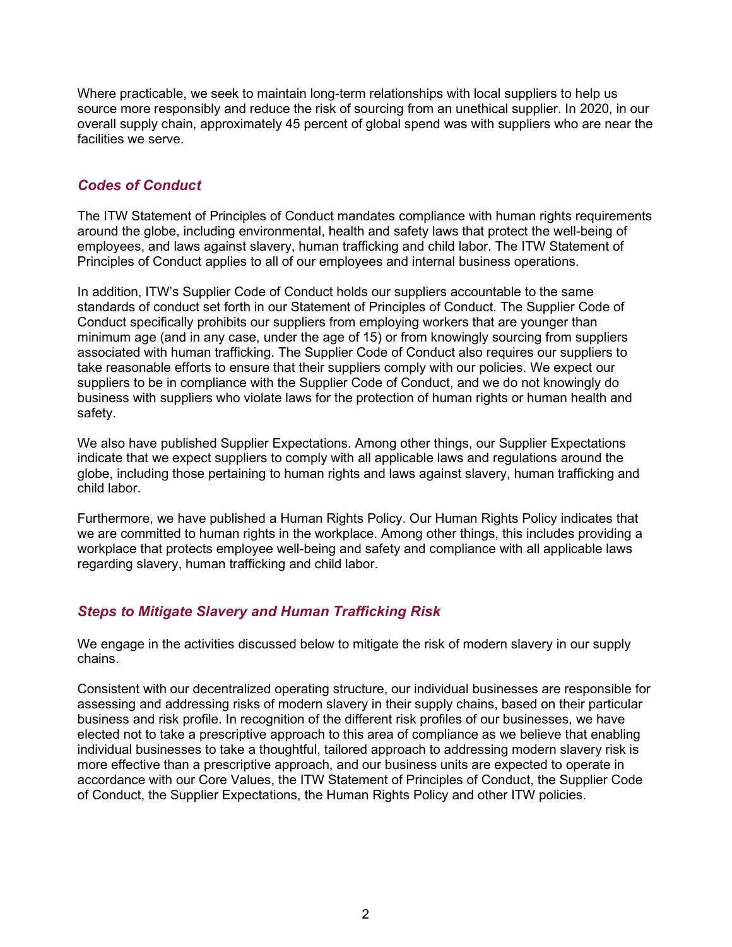Where practicable, we seek to maintain long-term relationships with local suppliers to help us source more responsibly and reduce the risk of sourcing from an unethical supplier. In 2020, in our overall supply chain, approximately 45 percent of global spend was with suppliers who are near the facilities we serve.

## Codes of Conduct

The ITW Statement of Principles of Conduct mandates compliance with human rights requirements around the globe, including environmental, health and safety laws that protect the well-being of employees, and laws against slavery, human trafficking and child labor. The ITW Statement of Principles of Conduct applies to all of our employees and internal business operations.

In addition, ITW's Supplier Code of Conduct holds our suppliers accountable to the same standards of conduct set forth in our Statement of Principles of Conduct. The Supplier Code of Conduct specifically prohibits our suppliers from employing workers that are younger than minimum age (and in any case, under the age of 15) or from knowingly sourcing from suppliers associated with human trafficking. The Supplier Code of Conduct also requires our suppliers to take reasonable efforts to ensure that their suppliers comply with our policies. We expect our suppliers to be in compliance with the Supplier Code of Conduct, and we do not knowingly do business with suppliers who violate laws for the protection of human rights or human health and safety.

We also have published Supplier Expectations. Among other things, our Supplier Expectations indicate that we expect suppliers to comply with all applicable laws and regulations around the globe, including those pertaining to human rights and laws against slavery, human trafficking and child labor.

Furthermore, we have published a Human Rights Policy. Our Human Rights Policy indicates that we are committed to human rights in the workplace. Among other things, this includes providing a workplace that protects employee well-being and safety and compliance with all applicable laws regarding slavery, human trafficking and child labor.

## Steps to Mitigate Slavery and Human Trafficking Risk

We engage in the activities discussed below to mitigate the risk of modern slavery in our supply chains.

Consistent with our decentralized operating structure, our individual businesses are responsible for assessing and addressing risks of modern slavery in their supply chains, based on their particular business and risk profile. In recognition of the different risk profiles of our businesses, we have elected not to take a prescriptive approach to this area of compliance as we believe that enabling individual businesses to take a thoughtful, tailored approach to addressing modern slavery risk is more effective than a prescriptive approach, and our business units are expected to operate in accordance with our Core Values, the ITW Statement of Principles of Conduct, the Supplier Code of Conduct, the Supplier Expectations, the Human Rights Policy and other ITW policies.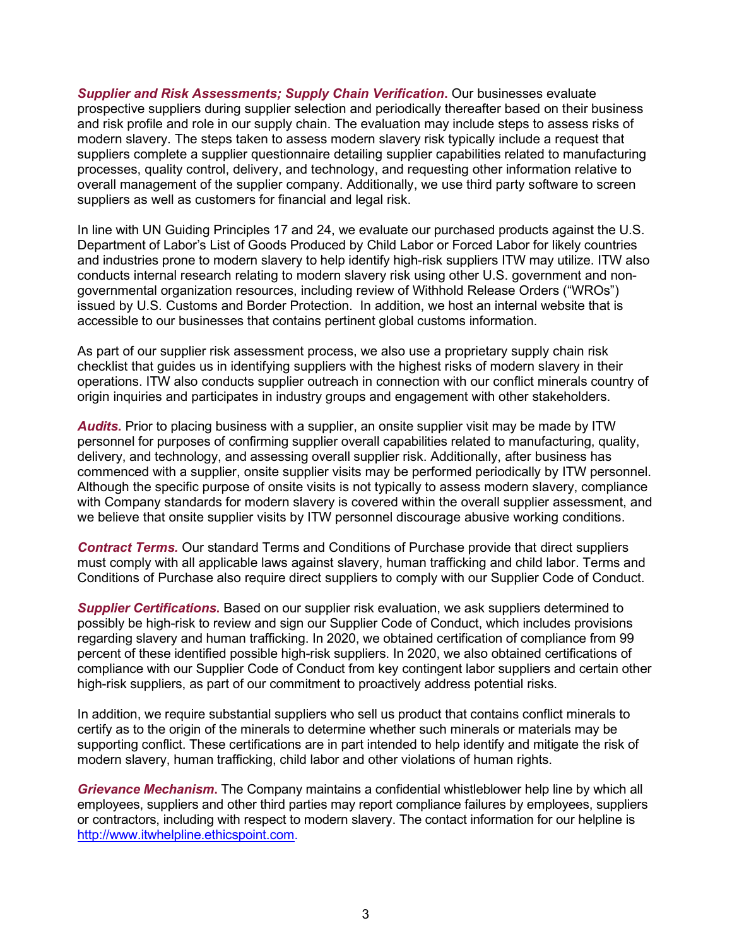Supplier and Risk Assessments; Supply Chain Verification. Our businesses evaluate prospective suppliers during supplier selection and periodically thereafter based on their business and risk profile and role in our supply chain. The evaluation may include steps to assess risks of modern slavery. The steps taken to assess modern slavery risk typically include a request that suppliers complete a supplier questionnaire detailing supplier capabilities related to manufacturing processes, quality control, delivery, and technology, and requesting other information relative to overall management of the supplier company. Additionally, we use third party software to screen suppliers as well as customers for financial and legal risk.

In line with UN Guiding Principles 17 and 24, we evaluate our purchased products against the U.S. Department of Labor's List of Goods Produced by Child Labor or Forced Labor for likely countries and industries prone to modern slavery to help identify high-risk suppliers ITW may utilize. ITW also conducts internal research relating to modern slavery risk using other U.S. government and nongovernmental organization resources, including review of Withhold Release Orders ("WROs") issued by U.S. Customs and Border Protection. In addition, we host an internal website that is accessible to our businesses that contains pertinent global customs information.

As part of our supplier risk assessment process, we also use a proprietary supply chain risk checklist that guides us in identifying suppliers with the highest risks of modern slavery in their operations. ITW also conducts supplier outreach in connection with our conflict minerals country of origin inquiries and participates in industry groups and engagement with other stakeholders.

Audits. Prior to placing business with a supplier, an onsite supplier visit may be made by ITW personnel for purposes of confirming supplier overall capabilities related to manufacturing, quality, delivery, and technology, and assessing overall supplier risk. Additionally, after business has commenced with a supplier, onsite supplier visits may be performed periodically by ITW personnel. Although the specific purpose of onsite visits is not typically to assess modern slavery, compliance with Company standards for modern slavery is covered within the overall supplier assessment, and we believe that onsite supplier visits by ITW personnel discourage abusive working conditions.

**Contract Terms.** Our standard Terms and Conditions of Purchase provide that direct suppliers must comply with all applicable laws against slavery, human trafficking and child labor. Terms and Conditions of Purchase also require direct suppliers to comply with our Supplier Code of Conduct.

Supplier Certifications. Based on our supplier risk evaluation, we ask suppliers determined to possibly be high-risk to review and sign our Supplier Code of Conduct, which includes provisions regarding slavery and human trafficking. In 2020, we obtained certification of compliance from 99 percent of these identified possible high-risk suppliers. In 2020, we also obtained certifications of compliance with our Supplier Code of Conduct from key contingent labor suppliers and certain other high-risk suppliers, as part of our commitment to proactively address potential risks.

In addition, we require substantial suppliers who sell us product that contains conflict minerals to certify as to the origin of the minerals to determine whether such minerals or materials may be supporting conflict. These certifications are in part intended to help identify and mitigate the risk of modern slavery, human trafficking, child labor and other violations of human rights.

Grievance Mechanism. The Company maintains a confidential whistleblower help line by which all employees, suppliers and other third parties may report compliance failures by employees, suppliers or contractors, including with respect to modern slavery. The contact information for our helpline is http://www.itwhelpline.ethicspoint.com.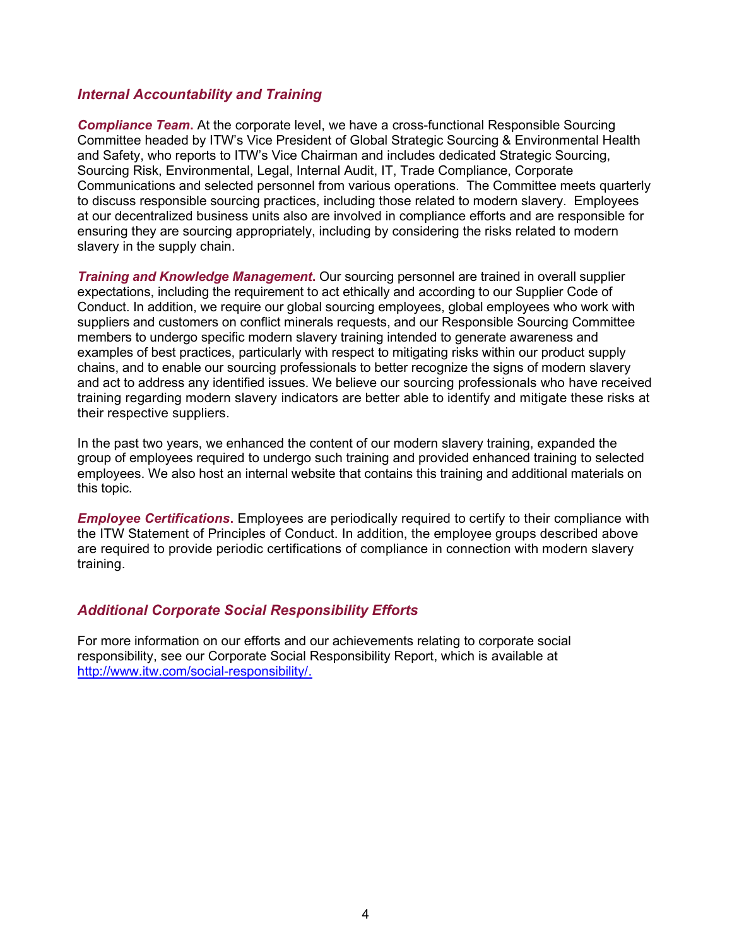#### Internal Accountability and Training

**Compliance Team.** At the corporate level, we have a cross-functional Responsible Sourcing Committee headed by ITW's Vice President of Global Strategic Sourcing & Environmental Health and Safety, who reports to ITW's Vice Chairman and includes dedicated Strategic Sourcing, Sourcing Risk, Environmental, Legal, Internal Audit, IT, Trade Compliance, Corporate Communications and selected personnel from various operations. The Committee meets quarterly to discuss responsible sourcing practices, including those related to modern slavery. Employees at our decentralized business units also are involved in compliance efforts and are responsible for ensuring they are sourcing appropriately, including by considering the risks related to modern slavery in the supply chain.

**Training and Knowledge Management.** Our sourcing personnel are trained in overall supplier expectations, including the requirement to act ethically and according to our Supplier Code of Conduct. In addition, we require our global sourcing employees, global employees who work with suppliers and customers on conflict minerals requests, and our Responsible Sourcing Committee members to undergo specific modern slavery training intended to generate awareness and examples of best practices, particularly with respect to mitigating risks within our product supply chains, and to enable our sourcing professionals to better recognize the signs of modern slavery and act to address any identified issues. We believe our sourcing professionals who have received training regarding modern slavery indicators are better able to identify and mitigate these risks at their respective suppliers.

In the past two years, we enhanced the content of our modern slavery training, expanded the group of employees required to undergo such training and provided enhanced training to selected employees. We also host an internal website that contains this training and additional materials on this topic.

**Employee Certifications.** Employees are periodically required to certify to their compliance with the ITW Statement of Principles of Conduct. In addition, the employee groups described above are required to provide periodic certifications of compliance in connection with modern slavery training.

### Additional Corporate Social Responsibility Efforts

For more information on our efforts and our achievements relating to corporate social responsibility, see our Corporate Social Responsibility Report, which is available at http://www.itw.com/social-responsibility/.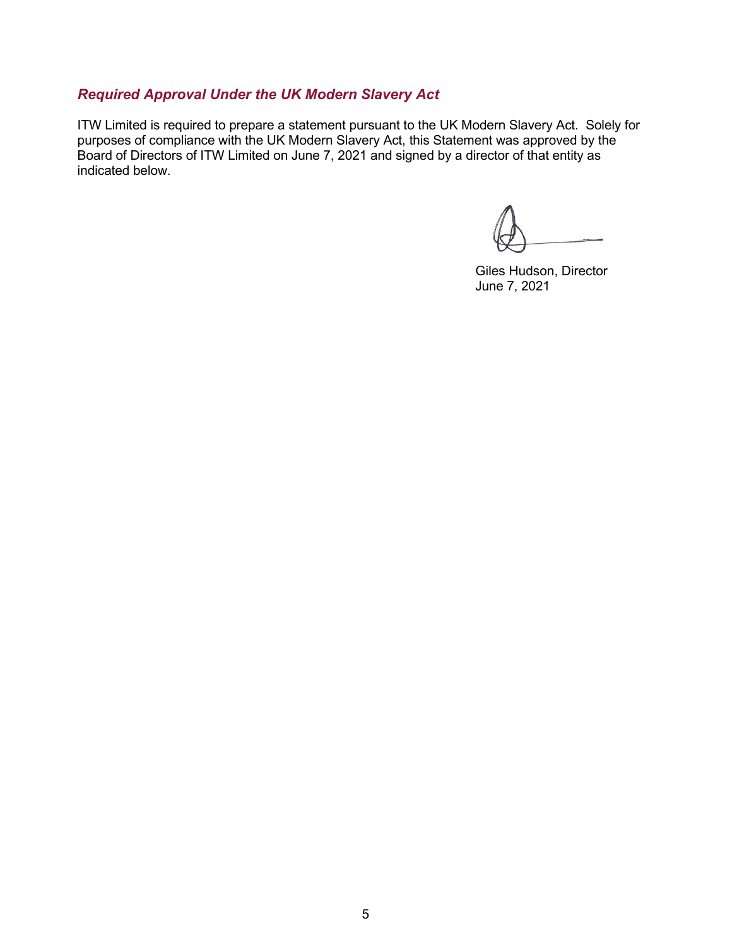## Required Approval Under the UK Modern Slavery Act

ITW Limited is required to prepare a statement pursuant to the UK Modern Slavery Act. Solely for purposes of compliance with the UK Modern Slavery Act, this Statement was approved by the Board of Directors of ITW Limited on June 7, 2021 and signed by a director of that entity as indicated below.

Giles Hudson, Director June 7, 2021